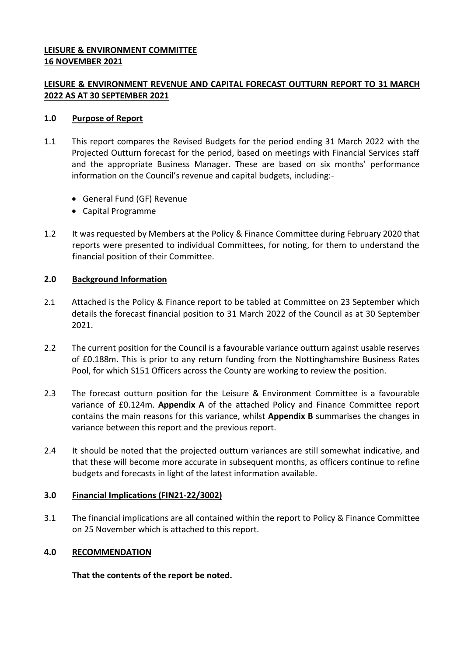## **LEISURE & ENVIRONMENT COMMITTEE 16 NOVEMBER 2021**

# **LEISURE & ENVIRONMENT REVENUE AND CAPITAL FORECAST OUTTURN REPORT TO 31 MARCH 2022 AS AT 30 SEPTEMBER 2021**

## **1.0 Purpose of Report**

- 1.1 This report compares the Revised Budgets for the period ending 31 March 2022 with the Projected Outturn forecast for the period, based on meetings with Financial Services staff and the appropriate Business Manager. These are based on six months' performance information on the Council's revenue and capital budgets, including:-
	- General Fund (GF) Revenue
	- Capital Programme
- 1.2 It was requested by Members at the Policy & Finance Committee during February 2020 that reports were presented to individual Committees, for noting, for them to understand the financial position of their Committee.

# **2.0 Background Information**

- 2.1 Attached is the Policy & Finance report to be tabled at Committee on 23 September which details the forecast financial position to 31 March 2022 of the Council as at 30 September 2021.
- 2.2 The current position for the Council is a favourable variance outturn against usable reserves of £0.188m. This is prior to any return funding from the Nottinghamshire Business Rates Pool, for which S151 Officers across the County are working to review the position.
- 2.3 The forecast outturn position for the Leisure & Environment Committee is a favourable variance of £0.124m. **Appendix A** of the attached Policy and Finance Committee report contains the main reasons for this variance, whilst **Appendix B** summarises the changes in variance between this report and the previous report.
- 2.4 It should be noted that the projected outturn variances are still somewhat indicative, and that these will become more accurate in subsequent months, as officers continue to refine budgets and forecasts in light of the latest information available.

### **3.0 Financial Implications (FIN21-22/3002)**

3.1 The financial implications are all contained within the report to Policy & Finance Committee on 25 November which is attached to this report.

# **4.0 RECOMMENDATION**

**That the contents of the report be noted.**